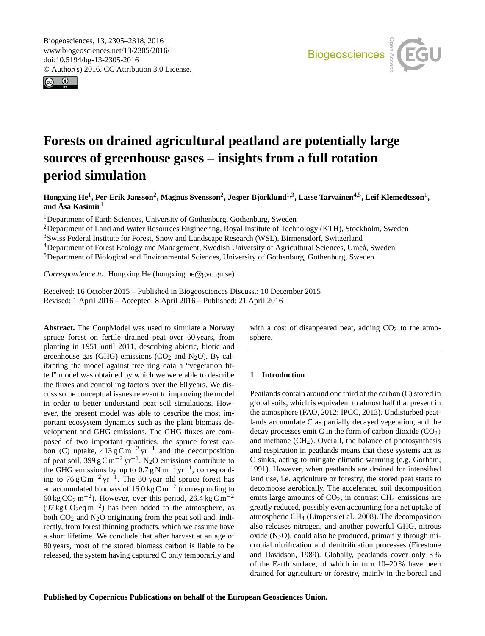<span id="page-0-1"></span>Biogeosciences, 13, 2305–2318, 2016 www.biogeosciences.net/13/2305/2016/ doi:10.5194/bg-13-2305-2016 © Author(s) 2016. CC Attribution 3.0 License.





# **Forests on drained agricultural peatland are potentially large sources of greenhouse gases – insights from a full rotation period simulation**

 $\bf{H}$ ongxing  $\bf{He}^1$  $\bf{He}^1$ , Per-Erik Jansson<sup>[2](#page-0-0)</sup>, Magnus Svensson<sup>2</sup>, Jesper Björklund<sup>[1,3](#page-0-0)</sup>, Lasse Tarvainen<sup>[4,5](#page-0-0)</sup>, Leif Klemedtsson<sup>1</sup>, **and Åsa Kasimir**[1](#page-0-0)

<sup>1</sup>Department of Earth Sciences, University of Gothenburg, Gothenburg, Sweden

<sup>2</sup>Department of Land and Water Resources Engineering, Royal Institute of Technology (KTH), Stockholm, Sweden

<sup>3</sup>Swiss Federal Institute for Forest, Snow and Landscape Research (WSL), Birmensdorf, Switzerland

<sup>4</sup>Department of Forest Ecology and Management, Swedish University of Agricultural Sciences, Umeå, Sweden

<sup>5</sup>Department of Biological and Environmental Sciences, University of Gothenburg, Gothenburg, Sweden

*Correspondence to:* Hongxing He (hongxing.he@gvc.gu.se)

Received: 16 October 2015 – Published in Biogeosciences Discuss.: 10 December 2015 Revised: 1 April 2016 – Accepted: 8 April 2016 – Published: 21 April 2016

<span id="page-0-0"></span>**Abstract.** The CoupModel was used to simulate a Norway spruce forest on fertile drained peat over 60 years, from planting in 1951 until 2011, describing abiotic, biotic and greenhouse gas (GHG) emissions ( $CO<sub>2</sub>$  and N<sub>2</sub>O). By calibrating the model against tree ring data a "vegetation fitted" model was obtained by which we were able to describe the fluxes and controlling factors over the 60 years. We discuss some conceptual issues relevant to improving the model in order to better understand peat soil simulations. However, the present model was able to describe the most important ecosystem dynamics such as the plant biomass development and GHG emissions. The GHG fluxes are composed of two important quantities, the spruce forest carbon (C) uptake,  $413 \text{ g} \text{C m}^{-2} \text{ yr}^{-1}$  and the decomposition of peat soil, 399 g C m<sup>-2</sup> yr<sup>-1</sup>. N<sub>2</sub>O emissions contribute to the GHG emissions by up to  $0.7 g N m^{-2} yr^{-1}$ , corresponding to  $76 \text{ g C m}^{-2} \text{ yr}^{-1}$ . The 60-year old spruce forest has an accumulated biomass of 16.0 kg C m−<sup>2</sup> (corresponding to 60 kg CO<sub>2</sub> m<sup>-2</sup>). However, over this period, 26.4 kg Cm<sup>-2</sup>  $(97 \text{ kg CO}_2 \text{eq m}^{-2})$  has been added to the atmosphere, as both  $CO<sub>2</sub>$  and  $N<sub>2</sub>O$  originating from the peat soil and, indirectly, from forest thinning products, which we assume have a short lifetime. We conclude that after harvest at an age of 80 years, most of the stored biomass carbon is liable to be released, the system having captured C only temporarily and

with a cost of disappeared peat, adding  $CO<sub>2</sub>$  to the atmosphere.

# **1 Introduction**

Peatlands contain around one third of the carbon (C) stored in global soils, which is equivalent to almost half that present in the atmosphere (FAO, 2012; IPCC, 2013). Undisturbed peatlands accumulate C as partially decayed vegetation, and the decay processes emit C in the form of carbon dioxide  $(CO<sub>2</sub>)$ and methane  $(CH<sub>4</sub>)$ . Overall, the balance of photosynthesis and respiration in peatlands means that these systems act as C sinks, acting to mitigate climatic warming (e.g. Gorham, 1991). However, when peatlands are drained for intensified land use, i.e. agriculture or forestry, the stored peat starts to decompose aerobically. The accelerated soil decomposition emits large amounts of  $CO<sub>2</sub>$ , in contrast  $CH<sub>4</sub>$  emissions are greatly reduced, possibly even accounting for a net uptake of atmospheric CH<sup>4</sup> (Limpens et al., 2008). The decomposition also releases nitrogen, and another powerful GHG, nitrous oxide  $(N_2O)$ , could also be produced, primarily through microbial nitrification and denitrification processes (Firestone and Davidson, 1989). Globally, peatlands cover only 3 % of the Earth surface, of which in turn 10–20 % have been drained for agriculture or forestry, mainly in the boreal and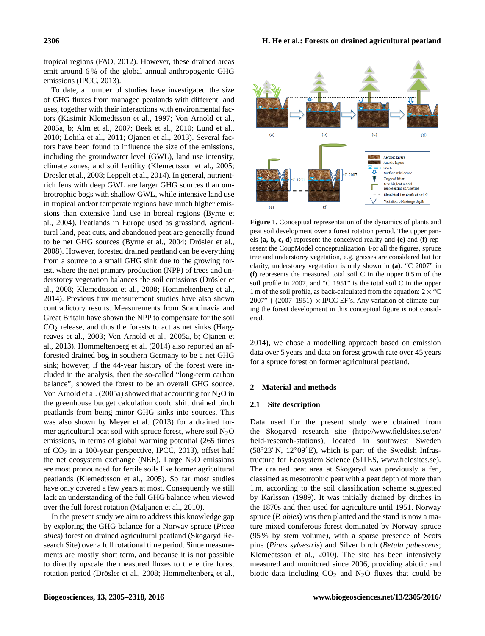tropical regions (FAO, 2012). However, these drained areas emit around 6 % of the global annual anthropogenic GHG emissions (IPCC, 2013).

To date, a number of studies have investigated the size of GHG fluxes from managed peatlands with different land uses, together with their interactions with environmental factors (Kasimir Klemedtsson et al., 1997; Von Arnold et al., 2005a, b; Alm et al., 2007; Beek et al., 2010; Lund et al., 2010; Lohila et al., 2011; Ojanen et al., 2013). Several factors have been found to influence the size of the emissions, including the groundwater level (GWL), land use intensity, climate zones, and soil fertility (Klemedtsson et al., 2005; Drösler et al., 2008; Leppelt et al., 2014). In general, nutrientrich fens with deep GWL are larger GHG sources than ombrotrophic bogs with shallow GWL, while intensive land use in tropical and/or temperate regions have much higher emissions than extensive land use in boreal regions (Byrne et al., 2004). Peatlands in Europe used as grassland, agricultural land, peat cuts, and abandoned peat are generally found to be net GHG sources (Byrne et al., 2004; Drösler et al., 2008). However, forested drained peatland can be everything from a source to a small GHG sink due to the growing forest, where the net primary production (NPP) of trees and understorey vegetation balances the soil emissions (Drösler et al., 2008; Klemedtsson et al., 2008; Hommeltenberg et al., 2014). Previous flux measurement studies have also shown contradictory results. Measurements from Scandinavia and Great Britain have shown the NPP to compensate for the soil  $CO<sub>2</sub>$  release, and thus the forests to act as net sinks (Hargreaves et al., 2003; Von Arnold et al., 2005a, b; Ojanen et al., 2013). Hommeltenberg et al. (2014) also reported an afforested drained bog in southern Germany to be a net GHG sink; however, if the 44-year history of the forest were included in the analysis, then the so-called "long-term carbon balance", showed the forest to be an overall GHG source. Von Arnold et al. (2005a) showed that accounting for  $N_2O$  in the greenhouse budget calculation could shift drained birch peatlands from being minor GHG sinks into sources. This was also shown by Meyer et al. (2013) for a drained former agricultural peat soil with spruce forest, where soil  $N_2O$ emissions, in terms of global warming potential (265 times of  $CO<sub>2</sub>$  in a 100-year perspective, IPCC, 2013), offset half the net ecosystem exchange (NEE). Large  $N_2O$  emissions are most pronounced for fertile soils like former agricultural peatlands (Klemedtsson et al., 2005). So far most studies have only covered a few years at most. Consequently we still lack an understanding of the full GHG balance when viewed over the full forest rotation (Maljanen et al., 2010).

In the present study we aim to address this knowledge gap by exploring the GHG balance for a Norway spruce (*Picea abies*) forest on drained agricultural peatland (Skogaryd Research Site) over a full rotational time period. Since measurements are mostly short term, and because it is not possible to directly upscale the measured fluxes to the entire forest rotation period (Drösler et al., 2008; Hommeltenberg et al.,



**Figure 1.** Conceptual representation of the dynamics of plants and peat soil development over a forest rotation period. The upper panels **(a, b, c, d)** represent the conceived reality and **(e)** and **(f)** represent the CoupModel conceptualization. For all the figures, spruce tree and understorey vegetation, e.g. grasses are considered but for clarity, understorey vegetation is only shown in **(a)**. "C 2007" in **(f)** represents the measured total soil C in the upper 0.5 m of the soil profile in 2007, and "C 1951" is the total soil C in the upper 1 m of the soil profile, as back-calculated from the equation:  $2 \times$  "C  $2007" + (2007–1951) \times \text{IPCC EF's. Any variation of climate dur$ ing the forest development in this conceptual figure is not considered.

2014), we chose a modelling approach based on emission data over 5 years and data on forest growth rate over 45 years for a spruce forest on former agricultural peatland.

## **2 Material and methods**

## **2.1 Site description**

Data used for the present study were obtained from the Skogaryd research site [\(http://www.fieldsites.se/en/](http://www.fieldsites.se/en/field-research-stations) [field-research-stations\)](http://www.fieldsites.se/en/field-research-stations), located in southwest Sweden  $(58°23' N, 12°09' E)$ , which is part of the Swedish Infrastructure for Ecosystem Science (SITES, [www.fieldsites.se\)](www.fieldsites.se). The drained peat area at Skogaryd was previously a fen, classified as mesotrophic peat with a peat depth of more than 1 m, according to the soil classification scheme suggested by Karlsson (1989). It was initially drained by ditches in the 1870s and then used for agriculture until 1951. Norway spruce (*P. abies*) was then planted and the stand is now a mature mixed coniferous forest dominated by Norway spruce (95 % by stem volume), with a sparse presence of Scots pine (*Pinus sylvestris*) and Silver birch (*Betula pubescens*; Klemedtsson et al., 2010). The site has been intensively measured and monitored since 2006, providing abiotic and biotic data including  $CO<sub>2</sub>$  and N<sub>2</sub>O fluxes that could be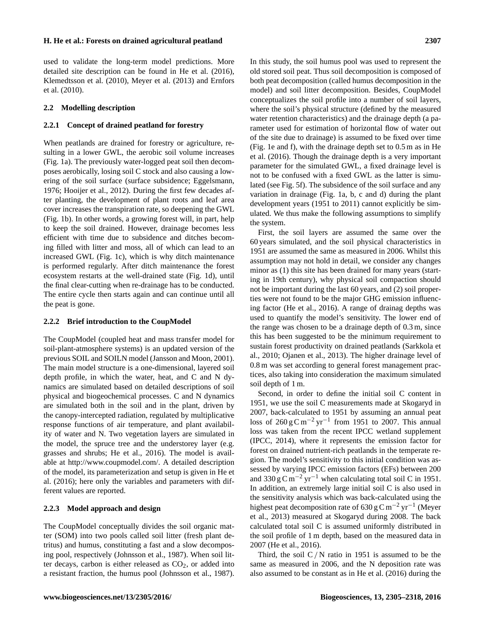used to validate the long-term model predictions. More detailed site description can be found in He et al. (2016), Klemedtsson et al. (2010), Meyer et al. (2013) and Ernfors et al. (2010).

# **2.2 Modelling description**

#### **2.2.1 Concept of drained peatland for forestry**

When peatlands are drained for forestry or agriculture, resulting in a lower GWL, the aerobic soil volume increases (Fig. 1a). The previously water-logged peat soil then decomposes aerobically, losing soil C stock and also causing a lowering of the soil surface (surface subsidence; Eggelsmann, 1976; Hooijer et al., 2012). During the first few decades after planting, the development of plant roots and leaf area cover increases the transpiration rate, so deepening the GWL (Fig. 1b). In other words, a growing forest will, in part, help to keep the soil drained. However, drainage becomes less efficient with time due to subsidence and ditches becoming filled with litter and moss, all of which can lead to an increased GWL (Fig. 1c), which is why ditch maintenance is performed regularly. After ditch maintenance the forest ecosystem restarts at the well-drained state (Fig. 1d), until the final clear-cutting when re-drainage has to be conducted. The entire cycle then starts again and can continue until all the peat is gone.

#### **2.2.2 Brief introduction to the CoupModel**

The CoupModel (coupled heat and mass transfer model for soil-plant-atmosphere systems) is an updated version of the previous SOIL and SOILN model (Jansson and Moon, 2001). The main model structure is a one-dimensional, layered soil depth profile, in which the water, heat, and C and N dynamics are simulated based on detailed descriptions of soil physical and biogeochemical processes. C and N dynamics are simulated both in the soil and in the plant, driven by the canopy-intercepted radiation, regulated by multiplicative response functions of air temperature, and plant availability of water and N. Two vegetation layers are simulated in the model, the spruce tree and the understorey layer (e.g. grasses and shrubs; He et al., 2016). The model is available at [http://www.coupmodel.com/.](http://www.coupmodel.com/) A detailed description of the model, its parameterization and setup is given in He et al. (2016); here only the variables and parameters with different values are reported.

#### **2.2.3 Model approach and design**

The CoupModel conceptually divides the soil organic matter (SOM) into two pools called soil litter (fresh plant detritus) and humus, constituting a fast and a slow decomposing pool, respectively (Johnsson et al., 1987). When soil litter decays, carbon is either released as  $CO<sub>2</sub>$ , or added into a resistant fraction, the humus pool (Johnsson et al., 1987). In this study, the soil humus pool was used to represent the old stored soil peat. Thus soil decomposition is composed of both peat decomposition (called humus decomposition in the model) and soil litter decomposition. Besides, CoupModel conceptualizes the soil profile into a number of soil layers, where the soil's physical structure (defined by the measured water retention characteristics) and the drainage depth (a parameter used for estimation of horizontal flow of water out of the site due to drainage) is assumed to be fixed over time (Fig. 1e and f), with the drainage depth set to 0.5 m as in He et al. (2016). Though the drainage depth is a very important parameter for the simulated GWL, a fixed drainage level is not to be confused with a fixed GWL as the latter is simulated (see Fig. 5f). The subsidence of the soil surface and any variation in drainage (Fig. 1a, b, c and d) during the plant development years (1951 to 2011) cannot explicitly be simulated. We thus make the following assumptions to simplify the system.

First, the soil layers are assumed the same over the 60 years simulated, and the soil physical characteristics in 1951 are assumed the same as measured in 2006. Whilst this assumption may not hold in detail, we consider any changes minor as (1) this site has been drained for many years (starting in 19th century), why physical soil compaction should not be important during the last 60 years, and (2) soil properties were not found to be the major GHG emission influencing factor (He et al., 2016). A range of drainag depths was used to quantify the model's sensitivity. The lower end of the range was chosen to be a drainage depth of 0.3 m, since this has been suggested to be the minimum requirement to sustain forest productivity on drained peatlands (Sarkkola et al., 2010; Ojanen et al., 2013). The higher drainage level of 0.8 m was set according to general forest management practices, also taking into consideration the maximum simulated soil depth of 1 m.

Second, in order to define the initial soil C content in 1951, we use the soil C measurements made at Skogaryd in 2007, back-calculated to 1951 by assuming an annual peat loss of  $260 \text{ g C m}^{-2} \text{ yr}^{-1}$  from 1951 to 2007. This annual loss was taken from the recent IPCC wetland supplement (IPCC, 2014), where it represents the emission factor for forest on drained nutrient-rich peatlands in the temperate region. The model's sensitivity to this initial condition was assessed by varying IPCC emission factors (EFs) between 200 and 330 g C m<sup>-2</sup> yr<sup>-1</sup> when calculating total soil C in 1951. In addition, an extremely large initial soil C is also used in the sensitivity analysis which was back-calculated using the highest peat decomposition rate of 630 g C m<sup>-2</sup> yr<sup>-1</sup> (Meyer et al., 2013) measured at Skogaryd during 2008. The back calculated total soil C is assumed uniformly distributed in the soil profile of 1 m depth, based on the measured data in 2007 (He et al., 2016).

Third, the soil  $C/N$  ratio in 1951 is assumed to be the same as measured in 2006, and the N deposition rate was also assumed to be constant as in He et al. (2016) during the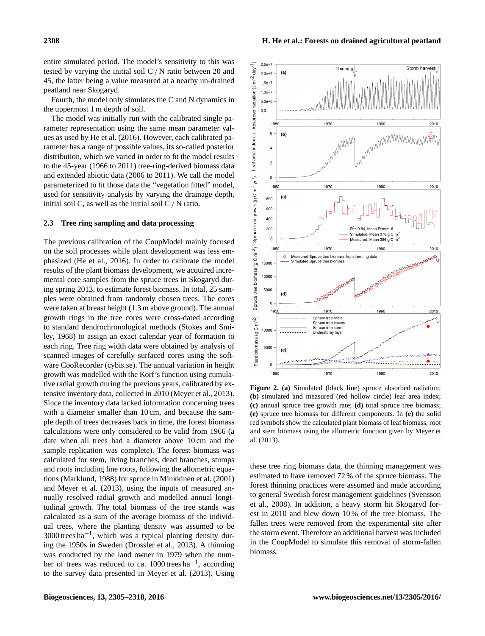entire simulated period. The model's sensitivity to this was tested by varying the initial soil C/ N ratio between 20 and 45, the latter being a value measured at a nearby un-drained peatland near Skogaryd.

Fourth, the model only simulates the C and N dynamics in the uppermost 1 m depth of soil.

The model was initially run with the calibrated single parameter representation using the same mean parameter values as used by He et al. (2016). However, each calibrated parameter has a range of possible values, its so-called posterior distribution, which we varied in order to fit the model results to the 45-year (1966 to 2011) tree-ring-derived biomass data and extended abiotic data (2006 to 2011). We call the model parameterized to fit those data the "vegetation fitted" model, used for sensitivity analysis by varying the drainage depth, initial soil C, as well as the initial soil C/ N ratio.

# **2.3 Tree ring sampling and data processing**

The previous calibration of the CoupModel mainly focused on the soil processes while plant development was less emphasized (He et al., 2016). In order to calibrate the model results of the plant biomass development, we acquired incremental core samples from the spruce trees in Skogaryd during spring 2013, to estimate forest biomass. In total, 25 samples were obtained from randomly chosen trees. The cores were taken at breast height (1.3 m above ground). The annual growth rings in the tree cores were cross-dated according to standard dendrochronological methods (Stokes and Smiley, 1968) to assign an exact calendar year of formation to each ring. Tree ring width data were obtained by analysis of scanned images of carefully surfaced cores using the software CooRecorder (cybis.se). The annual variation in height growth was modelled with the Korf's function using cumulative radial growth during the previous years, calibrated by extensive inventory data, collected in 2010 (Meyer et al., 2013). Since the inventory data lacked information concerning trees with a diameter smaller than 10 cm, and because the sample depth of trees decreases back in time, the forest biomass calculations were only considered to be valid from 1966 (a date when all trees had a diameter above 10 cm and the sample replication was complete). The forest biomass was calculated for stem, living branches, dead branches, stumps and roots including fine roots, following the allometric equations (Marklund, 1988) for spruce in Minkkinen et al. (2001) and Meyer et al. (2013), using the inputs of measured annually resolved radial growth and modelled annual longitudinal growth. The total biomass of the tree stands was calculated as a sum of the average biomass of the individual trees, where the planting density was assumed to be 3000 trees ha−<sup>1</sup> , which was a typical planting density during the 1950s in Sweden (Drossler et al., 2013). A thinning was conducted by the land owner in 1979 when the number of trees was reduced to ca. 1000 trees ha−<sup>1</sup> , according to the survey data presented in Meyer et al. (2013). Using



**Figure 2. (a)** Simulated (black line) spruce absorbed radiation; **(b)** simulated and measured (red hollow circle) leaf area index; **(c)** annual spruce tree growth rate; **(d)** total spruce tree biomass; **(e)** spruce tree biomass for different components. In **(e)** the solid red symbols show the calculated plant biomass of leaf biomass, root and stem biomass using the allometric function given by Meyer et al. (2013).

these tree ring biomass data, the thinning management was estimated to have removed 72 % of the spruce biomass. The forest thinning practices were assumed and made according to general Swedish forest management guidelines (Svensson et al., 2008). In addition, a heavy storm hit Skogaryd forest in 2010 and blew down 10 % of the tree biomass. The fallen trees were removed from the experimental site after the storm event. Therefore an additional harvest was included in the CoupModel to simulate this removal of storm-fallen biomass.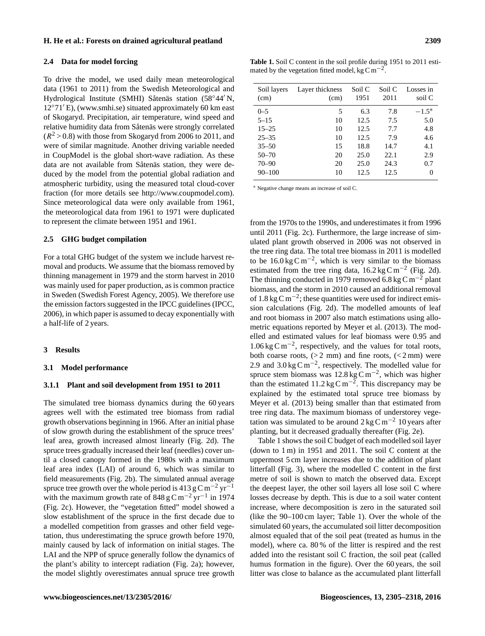#### **2.4 Data for model forcing**

To drive the model, we used daily mean meteorological data (1961 to 2011) from the Swedish Meteorological and Hydrological Institute (SMHI) Såtenäs station (58°44′ N,  $12^{\circ}71'$  E), [\(www.smhi.se\)](www.smhi.se) situated approximately 60 km east of Skogaryd. Precipitation, air temperature, wind speed and relative humidity data from Såtenäs were strongly correlated  $(R<sup>2</sup> > 0.8)$  with those from Skogaryd from 2006 to 2011, and were of similar magnitude. Another driving variable needed in CoupModel is the global short-wave radiation. As these data are not available from Såtenäs station, they were deduced by the model from the potential global radiation and atmospheric turbidity, using the measured total cloud-cover fraction (for more details see [http://www.coupmodel.com\)](http://www.coupmodel.com). Since meteorological data were only available from 1961, the meteorological data from 1961 to 1971 were duplicated to represent the climate between 1951 and 1961.

## **2.5 GHG budget compilation**

For a total GHG budget of the system we include harvest removal and products. We assume that the biomass removed by thinning management in 1979 and the storm harvest in 2010 was mainly used for paper production, as is common practice in Sweden (Swedish Forest Agency, 2005). We therefore use the emission factors suggested in the IPCC guidelines (IPCC, 2006), in which paper is assumed to decay exponentially with a half-life of 2 years.

#### **3 Results**

#### **3.1 Model performance**

#### **3.1.1 Plant and soil development from 1951 to 2011**

The simulated tree biomass dynamics during the 60 years agrees well with the estimated tree biomass from radial growth observations beginning in 1966. After an initial phase of slow growth during the establishment of the spruce trees' leaf area, growth increased almost linearly (Fig. 2d). The spruce trees gradually increased their leaf (needles) cover until a closed canopy formed in the 1980s with a maximum leaf area index (LAI) of around 6, which was similar to field measurements (Fig. 2b). The simulated annual average spruce tree growth over the whole period is 413 g C m<sup>-2</sup> yr<sup>-1</sup> with the maximum growth rate of 848 g C m<sup>-2</sup> yr<sup>-1</sup> in 1974 (Fig. 2c). However, the "vegetation fitted" model showed a slow establishment of the spruce in the first decade due to a modelled competition from grasses and other field vegetation, thus underestimating the spruce growth before 1970, mainly caused by lack of information on initial stages. The LAI and the NPP of spruce generally follow the dynamics of the plant's ability to intercept radiation (Fig. 2a); however, the model slightly overestimates annual spruce tree growth

| Soil layers<br>(cm) | Layer thickness<br>(cm) | Soil C<br>1951 | Soil C<br>2011 | Losses in<br>soil C |
|---------------------|-------------------------|----------------|----------------|---------------------|
| $0 - 5$             | 5                       | 6.3            | 7.8            | $-1.5*$             |
| $5 - 15$            | 10                      | 12.5           | 7.5            | 5.0                 |
| $15 - 25$           | 10                      | 12.5           | 7.7            | 4.8                 |
| $25 - 35$           | 10                      | 12.5           | 7.9            | 4.6                 |
| $35 - 50$           | 15                      | 18.8           | 14.7           | 4.1                 |
| $50 - 70$           | 20                      | 25.0           | 22.1           | 2.9                 |
| $70 - 90$           | 20                      | 25.0           | 24.3           | 0.7                 |
| $90 - 100$          | 10                      | 12.5           | 12.5           | 0                   |
|                     |                         |                |                |                     |

<sup>∗</sup> Negative change means an increase of soil C.

from the 1970s to the 1990s, and underestimates it from 1996 until 2011 (Fig. 2c). Furthermore, the large increase of simulated plant growth observed in 2006 was not observed in the tree ring data. The total tree biomass in 2011 is modelled to be  $16.0 \text{ kg C m}^{-2}$ , which is very similar to the biomass estimated from the tree ring data,  $16.2 \text{ kg C m}^{-2}$  (Fig. 2d). The thinning conducted in 1979 removed 6.8 kg C m<sup>-2</sup> plant biomass, and the storm in 2010 caused an additional removal of 1.8 kg C m<sup>-2</sup>; these quantities were used for indirect emission calculations (Fig. 2d). The modelled amounts of leaf and root biomass in 2007 also match estimations using allometric equations reported by Meyer et al. (2013). The modelled and estimated values for leaf biomass were 0.95 and 1.06 kg C m−<sup>2</sup> , respectively, and the values for total roots, both coarse roots,  $(2 \text{ mm})$  and fine roots,  $(< 2 \text{ mm})$  were 2.9 and  $3.0 \text{ kg C m}^{-2}$ , respectively. The modelled value for spruce stem biomass was  $12.8 \text{ kg} \text{C} \text{m}^{-2}$ , which was higher than the estimated 11.2 kg C m<sup>-2</sup>. This discrepancy may be explained by the estimated total spruce tree biomass by Meyer et al. (2013) being smaller than that estimated from tree ring data. The maximum biomass of understorey vegetation was simulated to be around  $2 \text{ kg C m}^{-2} 10 \text{ years}$  after planting, but it decreased gradually thereafter (Fig. 2e).

Table 1 shows the soil C budget of each modelled soil layer (down to 1 m) in 1951 and 2011. The soil C content at the uppermost 5 cm layer increases due to the addition of plant litterfall (Fig. 3), where the modelled C content in the first metre of soil is shown to match the observed data. Except the deepest layer, the other soil layers all lose soil C where losses decrease by depth. This is due to a soil water content increase, where decomposition is zero in the saturated soil (like the 90–100 cm layer; Table 1). Over the whole of the simulated 60 years, the accumulated soil litter decomposition almost equaled that of the soil peat (treated as humus in the model), where ca. 80 % of the litter is respired and the rest added into the resistant soil C fraction, the soil peat (called humus formation in the figure). Over the 60 years, the soil litter was close to balance as the accumulated plant litterfall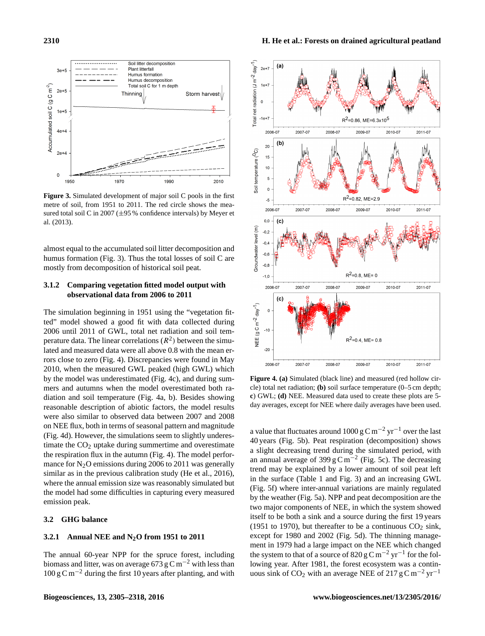

**Figure 3.** Simulated development of major soil C pools in the first metre of soil, from 1951 to 2011. The red circle shows the measured total soil C in 2007 (±95 % confidence intervals) by Meyer et al. (2013).

almost equal to the accumulated soil litter decomposition and humus formation (Fig. 3). Thus the total losses of soil C are mostly from decomposition of historical soil peat.

# **3.1.2 Comparing vegetation fitted model output with observational data from 2006 to 2011**

The simulation beginning in 1951 using the "vegetation fitted" model showed a good fit with data collected during 2006 until 2011 of GWL, total net radiation and soil temperature data. The linear correlations  $(R^2)$  between the simulated and measured data were all above 0.8 with the mean errors close to zero (Fig. 4). Discrepancies were found in May 2010, when the measured GWL peaked (high GWL) which by the model was underestimated (Fig. 4c), and during summers and autumns when the model overestimated both radiation and soil temperature (Fig. 4a, b). Besides showing reasonable description of abiotic factors, the model results were also similar to observed data between 2007 and 2008 on NEE flux, both in terms of seasonal pattern and magnitude (Fig. 4d). However, the simulations seem to slightly underestimate the  $CO<sub>2</sub>$  uptake during summertime and overestimate the respiration flux in the autumn (Fig. 4). The model performance for  $N_2O$  emissions during 2006 to 2011 was generally similar as in the previous calibration study (He et al., 2016), where the annual emission size was reasonably simulated but the model had some difficulties in capturing every measured emission peak.

#### **3.2 GHG balance**

## **3.2.1 Annual NEE and N2O from 1951 to 2011**

The annual 60-year NPP for the spruce forest, including biomass and litter, was on average 673 g C m<sup>-2</sup> with less than  $100 \text{ g C m}^{-2}$  during the first 10 years after planting, and with



**Figure 4. (a)** Simulated (black line) and measured (red hollow circle) total net radiation; **(b)** soil surface temperature (0–5 cm depth; **c**) GWL; **(d)** NEE. Measured data used to create these plots are 5 day averages, except for NEE where daily averages have been used.

a value that fluctuates around 1000 g C m<sup>-2</sup> yr<sup>-1</sup> over the last 40 years (Fig. 5b). Peat respiration (decomposition) shows a slight decreasing trend during the simulated period, with an annual average of 399 g C m<sup>-2</sup> (Fig. 5c). The decreasing trend may be explained by a lower amount of soil peat left in the surface (Table 1 and Fig. 3) and an increasing GWL (Fig. 5f) where inter-annual variations are mainly regulated by the weather (Fig. 5a). NPP and peat decomposition are the two major components of NEE, in which the system showed itself to be both a sink and a source during the first 19 years (1951 to 1970), but thereafter to be a continuous  $CO<sub>2</sub>$  sink, except for 1980 and 2002 (Fig. 5d). The thinning management in 1979 had a large impact on the NEE which changed the system to that of a source of 820 g C m<sup>-2</sup> yr<sup>-1</sup> for the following year. After 1981, the forest ecosystem was a continuous sink of CO<sub>2</sub> with an average NEE of 217 g C m<sup>-2</sup> yr<sup>-1</sup>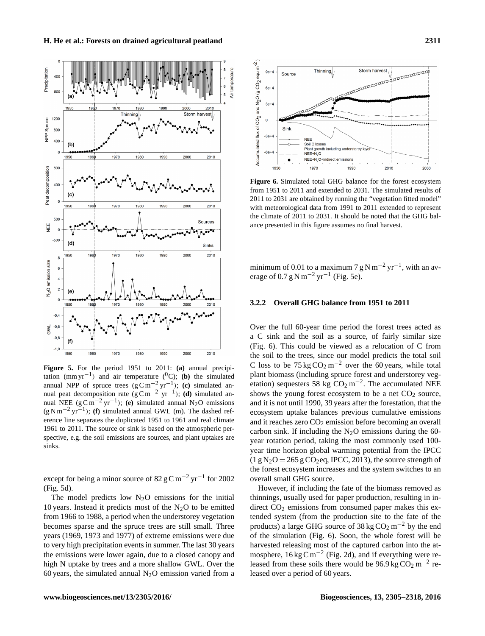

**Figure 5.** For the period 1951 to 2011: **(a)** annual precipitation  $(mm yr^{-1})$  and air temperature (<sup>0</sup>C); **(b)** the simulated annual NPP of spruce trees  $(g C m^{-2} yr^{-1})$ ; **(c)** simulated annual peat decomposition rate  $(g C m^{-2} yr^{-1})$ ; **(d)** simulated annual NEE ( $g \text{C m}^{-2}$  yr<sup>-1</sup>); **(e)** simulated annual N<sub>2</sub>O emissions (g N m−<sup>2</sup> yr−<sup>1</sup> ); **(f)** simulated annual GWL (m). The dashed reference line separates the duplicated 1951 to 1961 and real climate 1961 to 2011. The source or sink is based on the atmospheric perspective, e.g. the soil emissions are sources, and plant uptakes are sinks.

except for being a minor source of  $82 \text{ g C m}^{-2} \text{ yr}^{-1}$  for 2002 (Fig. 5d).

The model predicts low  $N_2O$  emissions for the initial 10 years. Instead it predicts most of the  $N_2O$  to be emitted from 1966 to 1988, a period when the understorey vegetation becomes sparse and the spruce trees are still small. Three years (1969, 1973 and 1977) of extreme emissions were due to very high precipitation events in summer. The last 30 years the emissions were lower again, due to a closed canopy and high N uptake by trees and a more shallow GWL. Over the 60 years, the simulated annual  $N_2O$  emission varied from a



**Figure 6.** Simulated total GHG balance for the forest ecosystem from 1951 to 2011 and extended to 2031. The simulated results of 2011 to 2031 are obtained by running the "vegetation fitted model" with meteorological data from 1991 to 2011 extended to represent the climate of 2011 to 2031. It should be noted that the GHG balance presented in this figure assumes no final harvest.

minimum of 0.01 to a maximum 7 g N m<sup>-2</sup> yr<sup>-1</sup>, with an average of  $0.7 g N m^{-2} yr^{-1}$  (Fig. 5e).

## **3.2.2 Overall GHG balance from 1951 to 2011**

Over the full 60-year time period the forest trees acted as a C sink and the soil as a source, of fairly similar size (Fig. 6). This could be viewed as a relocation of C from the soil to the trees, since our model predicts the total soil C loss to be  $75 \text{ kg CO}_2 \text{ m}^{-2}$  over the 60 years, while total plant biomass (including spruce forest and understorey vegetation) sequesters 58 kg  $CO<sub>2</sub>$  m<sup>-2</sup>. The accumulated NEE shows the young forest ecosystem to be a net  $CO<sub>2</sub>$  source, and it is not until 1990, 39 years after the forestation, that the ecosystem uptake balances previous cumulative emissions and it reaches zero  $CO<sub>2</sub>$  emission before becoming an overall carbon sink. If including the  $N_2O$  emissions during the 60year rotation period, taking the most commonly used 100 year time horizon global warming potential from the IPCC  $(1 g N_2O = 265 g CO_2$ eq, IPCC, 2013), the source strength of the forest ecosystem increases and the system switches to an overall small GHG source.

However, if including the fate of the biomass removed as thinnings, usually used for paper production, resulting in indirect  $CO<sub>2</sub>$  emissions from consumed paper makes this extended system (from the production site to the fate of the products) a large GHG source of  $38 \text{ kg } \text{CO}_2 \text{ m}^{-2}$  by the end of the simulation (Fig. 6). Soon, the whole forest will be harvested releasing most of the captured carbon into the atmosphere,  $16 \text{ kg C m}^{-2}$  (Fig. 2d), and if everything were released from these soils there would be  $96.9 \text{ kg CO}_2 \text{ m}^{-2}$  released over a period of 60 years.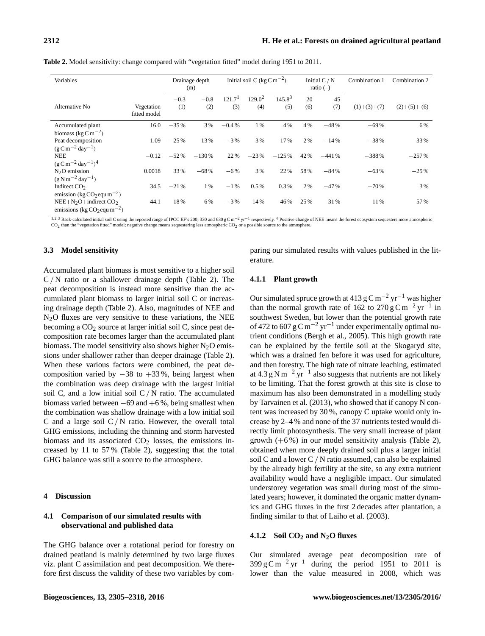| Variables                                           |                            | Initial soil C (kg $\rm C~m^{-2}$ )<br>Drainage depth<br>(m) |         | Initial $C/N$<br>ratio $(-)$ |           | Combination 1 | Combination 2 |         |               |               |
|-----------------------------------------------------|----------------------------|--------------------------------------------------------------|---------|------------------------------|-----------|---------------|---------------|---------|---------------|---------------|
|                                                     |                            | $-0.3$                                                       | $-0.8$  | 121.7 <sup>1</sup>           | $129.0^2$ | $145.8^{3}$   | 20            | 45      |               |               |
| Alternative No.                                     | Vegetation<br>fitted model | (1)                                                          | (2)     | (3)                          | (4)       | (5)           | (6)           | (7)     | $(1)+(3)+(7)$ | $(2)+(5)+(6)$ |
| Accumulated plant                                   | 16.0                       | $-35%$                                                       | 3 %     | $-0.4%$                      | $1\%$     | 4 %           | 4 %           | $-48%$  | $-69%$        | 6 %           |
| biomass (kg $C m^{-2}$ )                            |                            |                                                              |         |                              |           |               |               |         |               |               |
| Peat decomposition                                  | 1.09                       | $-25%$                                                       | 13%     | $-3\%$                       | 3 %       | 17%           | 2 %           | $-14%$  | $-38%$        | 33 %          |
| $(g C m^{-2} day^{-1})$                             |                            |                                                              |         |                              |           |               |               |         |               |               |
| <b>NEE</b>                                          | $-0.12$                    | $-52\%$                                                      | $-130%$ | 22%                          | $-23%$    | $-125%$       | 42 %          | $-441%$ | $-388%$       | $-257%$       |
| $(g \text{ C m}^{-2} \text{ day}^{-1})^4$           |                            |                                                              |         |                              |           |               |               |         |               |               |
| $N2O$ emission                                      | 0.0018                     | 33 %                                                         | $-68%$  | $-6\%$                       | 3 %       | 22 %          | 58%           | $-84%$  | $-63%$        | $-25%$        |
| $(g N m^{-2} day^{-1})$                             |                            |                                                              |         |                              |           |               |               |         |               |               |
| Indirect CO <sub>2</sub>                            | 34.5                       | $-21%$                                                       | $1\%$   | $-1\%$                       | $0.5\%$   | 0.3%          | 2 %           | $-47%$  | $-70%$        | 3 %           |
| emission (kg CO <sub>2</sub> equ m <sup>-2</sup> )  |                            |                                                              |         |                              |           |               |               |         |               |               |
| $NEE+N2O+indirect CO2$                              | 44.1                       | 18%                                                          | 6%      | $-3\%$                       | 14%       | 46 %          | 25 %          | 31 %    | 11 %          | 57%           |
| emissions (kg CO <sub>2</sub> equ m <sup>-2</sup> ) |                            |                                                              |         |                              |           |               |               |         |               |               |

**Table 2.** Model sensitivity: change compared with "vegetation fitted" model during 1951 to 2011.

<sup>1,2,3</sup> Back-calculated initial soil C using the reported range of IPCC EF's 200; 330 and 630 g Cm<sup>-2</sup> yr<sup>-1</sup> respectively. <sup>4</sup> Positive change of NEE means the forest ecosystem sequesters more atmospheric CO<sub>2</sub> than the

## **3.3 Model sensitivity**

Accumulated plant biomass is most sensitive to a higher soil  $C/N$  ratio or a shallower drainage depth (Table 2). The peat decomposition is instead more sensitive than the accumulated plant biomass to larger initial soil C or increasing drainage depth (Table 2). Also, magnitudes of NEE and  $N<sub>2</sub>O$  fluxes are very sensitive to these variations, the NEE becoming a  $CO<sub>2</sub>$  source at larger initial soil C, since peat decomposition rate becomes larger than the accumulated plant biomass. The model sensitivity also shows higher  $N_2O$  emissions under shallower rather than deeper drainage (Table 2). When these various factors were combined, the peat decomposition varied by  $-38$  to  $+33$ %, being largest when the combination was deep drainage with the largest initial soil C, and a low initial soil  $C/N$  ratio. The accumulated biomass varied between  $-69$  and  $+6\%$ , being smallest when the combination was shallow drainage with a low initial soil C and a large soil  $C/N$  ratio. However, the overall total GHG emissions, including the thinning and storm harvested biomass and its associated  $CO<sub>2</sub>$  losses, the emissions increased by 11 to 57 % (Table 2), suggesting that the total GHG balance was still a source to the atmosphere.

## **4 Discussion**

# **4.1 Comparison of our simulated results with observational and published data**

The GHG balance over a rotational period for forestry on drained peatland is mainly determined by two large fluxes viz. plant C assimilation and peat decomposition. We therefore first discuss the validity of these two variables by comparing our simulated results with values published in the literature.

# **4.1.1 Plant growth**

Our simulated spruce growth at 413 g C m<sup>-2</sup> yr<sup>-1</sup> was higher than the normal growth rate of 162 to 270 g C m<sup>-2</sup> yr<sup>-1</sup> in southwest Sweden, but lower than the potential growth rate of 472 to 607 g C m<sup>-2</sup> yr<sup>-1</sup> under experimentally optimal nutrient conditions (Bergh et al., 2005). This high growth rate can be explained by the fertile soil at the Skogaryd site, which was a drained fen before it was used for agriculture, and then forestry. The high rate of nitrate leaching, estimated at 4.3 g N m−<sup>2</sup> yr−<sup>1</sup> also suggests that nutrients are not likely to be limiting. That the forest growth at this site is close to maximum has also been demonstrated in a modelling study by Tarvainen et al. (2013), who showed that if canopy N content was increased by 30 %, canopy C uptake would only increase by 2–4 % and none of the 37 nutrients tested would directly limit photosynthesis. The very small increase of plant growth  $(+6\%)$  in our model sensitivity analysis (Table 2), obtained when more deeply drained soil plus a larger initial soil C and a lower C/ N ratio assumed, can also be explained by the already high fertility at the site, so any extra nutrient availability would have a negligible impact. Our simulated understorey vegetation was small during most of the simulated years; however, it dominated the organic matter dynamics and GHG fluxes in the first 2 decades after plantation, a finding similar to that of Laiho et al. (2003).

# **4.1.2 Soil CO<sup>2</sup> and N2O fluxes**

Our simulated average peat decomposition rate of  $399 \text{ g C m}^{-2} \text{ yr}^{-1}$  during the period 1951 to 2011 is lower than the value measured in 2008, which was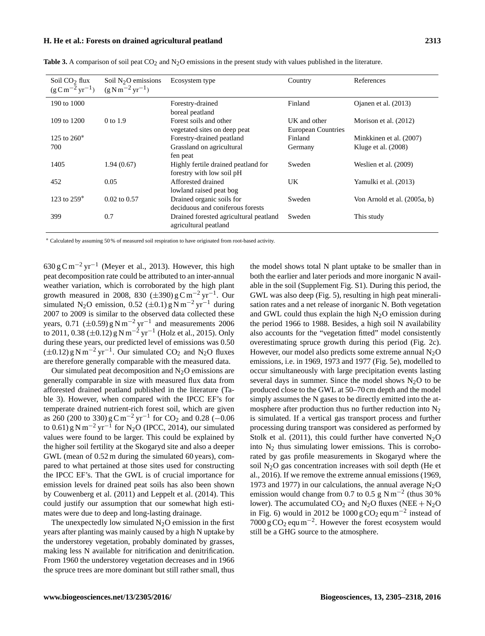| Soil $CO2$ flux<br>$(g C m^{-2} yr^{-1})$ | Soil $N2O$ emissions<br>$(g \text{ N m}^{-2} \text{ yr}^{-1})$ | Ecosystem type                                                | Country                   | References                   |
|-------------------------------------------|----------------------------------------------------------------|---------------------------------------------------------------|---------------------------|------------------------------|
| 190 to 1000                               |                                                                | Forestry-drained                                              | Finland                   | Ojanen et al. (2013)         |
|                                           |                                                                | boreal peatland                                               |                           |                              |
| 109 to 1200                               | $0$ to $1.9$                                                   | Forest soils and other                                        | UK and other              | Morison et al. (2012)        |
|                                           |                                                                | vegetated sites on deep peat                                  | <b>European Countries</b> |                              |
| 125 to $260*$                             |                                                                | Forestry-drained peatland                                     | Finland                   | Minkkinen et al. (2007)      |
| 700                                       |                                                                | Grassland on agricultural                                     | Germany                   | Kluge et al. $(2008)$        |
|                                           |                                                                | fen peat                                                      |                           |                              |
| 1405                                      | 1.94(0.67)                                                     | Highly fertile drained peatland for                           | Sweden                    | Weslien et al. (2009)        |
| 452                                       | 0.05                                                           | forestry with low soil pH<br>Afforested drained               | UK                        |                              |
|                                           |                                                                |                                                               |                           | Yamulki et al. (2013)        |
| 123 to $259*$                             | $0.02 \text{ to } 0.57$                                        | lowland raised peat bog                                       | Sweden                    |                              |
|                                           |                                                                | Drained organic soils for<br>deciduous and coniferous forests |                           | Von Arnold et al. (2005a, b) |
| 399                                       |                                                                |                                                               |                           |                              |
|                                           | 0.7                                                            | Drained forested agricultural peatland                        | Sweden                    | This study                   |
|                                           |                                                                | agricultural peatland                                         |                           |                              |

**Table 3.** A comparison of soil peat  $CO<sub>2</sub>$  and  $N<sub>2</sub>O$  emissions in the present study with values published in the literature.

<sup>∗</sup> Calculated by assuming 50 % of measured soil respiration to have originated from root-based activity.

 $630 \text{ g C m}^{-2} \text{ yr}^{-1}$  (Meyer et al., 2013). However, this high peat decomposition rate could be attributed to an inter-annual weather variation, which is corroborated by the high plant growth measured in 2008, 830  $(\pm 390)$  g C m<sup>-2</sup> yr<sup>-1</sup>. Our simulated N<sub>2</sub>O emission, 0.52 ( $\pm$ 0.1) g N m<sup>-2</sup> yr<sup>-1</sup> during 2007 to 2009 is similar to the observed data collected these years, 0.71 ( $\pm$ 0.59) g N m<sup>-2</sup> yr<sup>-1</sup> and measurements 2006 to 2011, 0.38 (±0.12) g N m<sup>-2</sup> yr<sup>-1</sup> (Holz et al., 2015). Only during these years, our predicted level of emissions was 0.50  $(\pm 0.12)$  g N m<sup>-2</sup> yr<sup>-1</sup>. Our simulated CO<sub>2</sub> and N<sub>2</sub>O fluxes are therefore generally comparable with the measured data.

Our simulated peat decomposition and  $N_2O$  emissions are generally comparable in size with measured flux data from afforested drained peatland published in the literature (Table 3). However, when compared with the IPCC EF's for temperate drained nutrient-rich forest soil, which are given as 260 (200 to 330)  $gC m^{-2} yr^{-1}$  for  $CO_2$  and 0.28 (-0.06 to 0.61) g N m<sup>-2</sup> yr<sup>-1</sup> for N<sub>2</sub>O (IPCC, 2014), our simulated values were found to be larger. This could be explained by the higher soil fertility at the Skogaryd site and also a deeper GWL (mean of 0.52 m during the simulated 60 years), compared to what pertained at those sites used for constructing the IPCC EF's. That the GWL is of crucial importance for emission levels for drained peat soils has also been shown by Couwenberg et al. (2011) and Leppelt et al. (2014). This could justify our assumption that our somewhat high estimates were due to deep and long-lasting drainage.

The unexpectedly low simulated  $N_2O$  emission in the first years after planting was mainly caused by a high N uptake by the understorey vegetation, probably dominated by grasses, making less N available for nitrification and denitrification. From 1960 the understorey vegetation decreases and in 1966 the spruce trees are more dominant but still rather small, thus

the model shows total N plant uptake to be smaller than in both the earlier and later periods and more inorganic N available in the soil (Supplement Fig. S1). During this period, the GWL was also deep (Fig. 5), resulting in high peat mineralisation rates and a net release of inorganic N. Both vegetation and GWL could thus explain the high  $N_2O$  emission during the period 1966 to 1988. Besides, a high soil N availability also accounts for the "vegetation fitted" model consistently overestimating spruce growth during this period (Fig. 2c). However, our model also predicts some extreme annual  $N_2O$ emissions, i.e. in 1969, 1973 and 1977 (Fig. 5e), modelled to occur simultaneously with large precipitation events lasting several days in summer. Since the model shows  $N_2O$  to be produced close to the GWL at 50–70 cm depth and the model simply assumes the N gases to be directly emitted into the atmosphere after production thus no further reduction into  $N_2$ is simulated. If a vertical gas transport process and further processing during transport was considered as performed by Stolk et al. (2011), this could further have converted  $N_2O$ into  $N_2$  thus simulating lower emissions. This is corroborated by gas profile measurements in Skogaryd where the soil N2O gas concentration increases with soil depth (He et al., 2016). If we remove the extreme annual emissions (1969, 1973 and 1977) in our calculations, the annual average  $N_2O$ emission would change from 0.7 to 0.5 g N m<sup>-2</sup> (thus 30 % lower). The accumulated  $CO_2$  and  $N_2O$  fluxes (NEE +  $N_2O$ in Fig. 6) would in 2012 be  $1000 \text{ g } CO_2$  equ m<sup>-2</sup> instead of 7000 g CO<sup>2</sup> equ m−<sup>2</sup> . However the forest ecosystem would still be a GHG source to the atmosphere.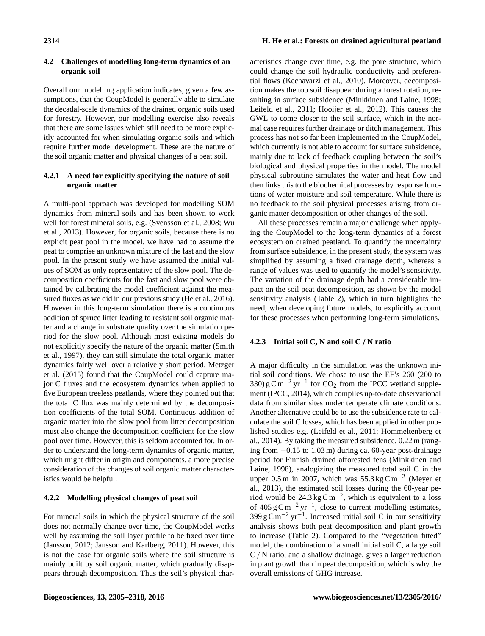# **4.2 Challenges of modelling long-term dynamics of an organic soil**

Overall our modelling application indicates, given a few assumptions, that the CoupModel is generally able to simulate the decadal-scale dynamics of the drained organic soils used for forestry. However, our modelling exercise also reveals that there are some issues which still need to be more explicitly accounted for when simulating organic soils and which require further model development. These are the nature of the soil organic matter and physical changes of a peat soil.

# **4.2.1 A need for explicitly specifying the nature of soil organic matter**

A multi-pool approach was developed for modelling SOM dynamics from mineral soils and has been shown to work well for forest mineral soils, e.g. (Svensson et al., 2008; Wu et al., 2013). However, for organic soils, because there is no explicit peat pool in the model, we have had to assume the peat to comprise an unknown mixture of the fast and the slow pool. In the present study we have assumed the initial values of SOM as only representative of the slow pool. The decomposition coefficients for the fast and slow pool were obtained by calibrating the model coefficient against the measured fluxes as we did in our previous study (He et al., 2016). However in this long-term simulation there is a continuous addition of spruce litter leading to resistant soil organic matter and a change in substrate quality over the simulation period for the slow pool. Although most existing models do not explicitly specify the nature of the organic matter (Smith et al., 1997), they can still simulate the total organic matter dynamics fairly well over a relatively short period. Metzger et al. (2015) found that the CoupModel could capture major C fluxes and the ecosystem dynamics when applied to five European treeless peatlands, where they pointed out that the total C flux was mainly determined by the decomposition coefficients of the total SOM. Continuous addition of organic matter into the slow pool from litter decomposition must also change the decomposition coefficient for the slow pool over time. However, this is seldom accounted for. In order to understand the long-term dynamics of organic matter, which might differ in origin and components, a more precise consideration of the changes of soil organic matter characteristics would be helpful.

# **4.2.2 Modelling physical changes of peat soil**

For mineral soils in which the physical structure of the soil does not normally change over time, the CoupModel works well by assuming the soil layer profile to be fixed over time (Jansson, 2012; Jansson and Karlberg, 2011). However, this is not the case for organic soils where the soil structure is mainly built by soil organic matter, which gradually disappears through decomposition. Thus the soil's physical characteristics change over time, e.g. the pore structure, which could change the soil hydraulic conductivity and preferential flows (Kechavarzi et al., 2010). Moreover, decomposition makes the top soil disappear during a forest rotation, resulting in surface subsidence (Minkkinen and Laine, 1998; Leifeld et al., 2011; Hooijer et al., 2012). This causes the GWL to come closer to the soil surface, which in the normal case requires further drainage or ditch management. This process has not so far been implemented in the CoupModel, which currently is not able to account for surface subsidence, mainly due to lack of feedback coupling between the soil's biological and physical properties in the model. The model physical subroutine simulates the water and heat flow and then links this to the biochemical processes by response functions of water moisture and soil temperature. While there is no feedback to the soil physical processes arising from organic matter decomposition or other changes of the soil.

All these processes remain a major challenge when applying the CoupModel to the long-term dynamics of a forest ecosystem on drained peatland. To quantify the uncertainty from surface subsidence, in the present study, the system was simplified by assuming a fixed drainage depth, whereas a range of values was used to quantify the model's sensitivity. The variation of the drainage depth had a considerable impact on the soil peat decomposition, as shown by the model sensitivity analysis (Table 2), which in turn highlights the need, when developing future models, to explicitly account for these processes when performing long-term simulations.

# **4.2.3 Initial soil C, N and soil C** / **N ratio**

A major difficulty in the simulation was the unknown initial soil conditions. We chose to use the EF's 260 (200 to 330)  $g \text{ C m}^{-2}$  yr<sup>-1</sup> for CO<sub>2</sub> from the IPCC wetland supplement (IPCC, 2014), which compiles up-to-date observational data from similar sites under temperate climate conditions. Another alternative could be to use the subsidence rate to calculate the soil C losses, which has been applied in other published studies e.g. (Leifeld et al., 2011; Hommeltenberg et al., 2014). By taking the measured subsidence, 0.22 m (ranging from −0.15 to 1.03 m) during ca. 60-year post-drainage period for Finnish drained afforested fens (Minkkinen and Laine, 1998), analogizing the measured total soil C in the upper 0.5 m in 2007, which was 55.3 kg C m<sup>-2</sup> (Meyer et al., 2013), the estimated soil losses during the 60-year period would be  $24.3 \text{ kg C m}^{-2}$ , which is equivalent to a loss of 405 g C m<sup>-2</sup> yr<sup>-1</sup>, close to current modelling estimates,  $399 \text{ g C m}^{-2} \text{ yr}^{-1}$ . Increased initial soil C in our sensitivity analysis shows both peat decomposition and plant growth to increase (Table 2). Compared to the "vegetation fitted" model, the combination of a small initial soil C, a large soil C/ N ratio, and a shallow drainage, gives a larger reduction in plant growth than in peat decomposition, which is why the overall emissions of GHG increase.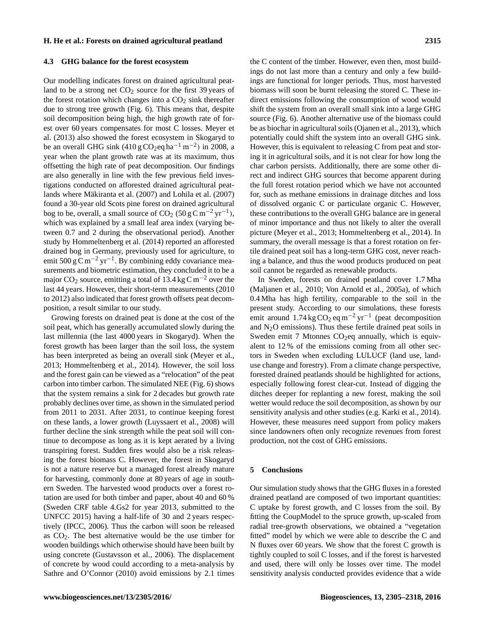#### **4.3 GHG balance for the forest ecosystem**

Our modelling indicates forest on drained agricultural peatland to be a strong net  $CO<sub>2</sub>$  source for the first 39 years of the forest rotation which changes into a  $CO<sub>2</sub>$  sink thereafter due to strong tree growth (Fig. 6). This means that, despite soil decomposition being high, the high growth rate of forest over 60 years compensates for most C losses. Meyer et al. (2013) also showed the forest ecosystem in Skogaryd to be an overall GHG sink  $(410 \text{ g } CO_2 \text{eq } \text{ha}^{-1} \text{ m}^{-2})$  in 2008, a year when the plant growth rate was at its maximum, thus offsetting the high rate of peat decomposition. Our findings are also generally in line with the few previous field investigations conducted on afforested drained agricultural peatlands where Mäkiranta et al. (2007) and Lohila et al. (2007) found a 30-year old Scots pine forest on drained agricultural bog to be, overall, a small source of  $CO_2$  (50 g C m<sup>-2</sup> yr<sup>-1</sup>), which was explained by a small leaf area index (varying between 0.7 and 2 during the observational period). Another study by Hommeltenberg et al. (2014) reported an afforested drained bog in Germany, previously used for agriculture, to emit 500 g C m<sup>-2</sup> yr<sup>-1</sup>. By combining eddy covariance measurements and biometric estimation, they concluded it to be a major  $CO_2$  source, emitting a total of 13.4 kg C m<sup>-2</sup> over the last 44 years. However, their short-term measurements (2010 to 2012) also indicated that forest growth offsets peat decomposition, a result similar to our study.

Growing forests on drained peat is done at the cost of the soil peat, which has generally accumulated slowly during the last millennia (the last 4000 years in Skogaryd). When the forest growth has been larger than the soil loss, the system has been interpreted as being an overall sink (Meyer et al., 2013; Hommeltenberg et al., 2014). However, the soil loss and the forest gain can be viewed as a "relocation" of the peat carbon into timber carbon. The simulated NEE (Fig. 6) shows that the system remains a sink for 2 decades but growth rate probably declines over time, as shown in the simulated period from 2011 to 2031. After 2031, to continue keeping forest on these lands, a lower growth (Luyssaert et al., 2008) will further decline the sink strength while the peat soil will continue to decompose as long as it is kept aerated by a living transpiring forest. Sudden fires would also be a risk releasing the forest biomass C. However, the forest in Skogaryd is not a nature reserve but a managed forest already mature for harvesting, commonly done at 80 years of age in southern Sweden. The harvested wood products over a forest rotation are used for both timber and paper, about 40 and 60 % (Sweden CRF table 4.Gs2 for year 2013, submitted to the UNFCC 2015) having a half-life of 30 and 2 years respectively (IPCC, 2006). Thus the carbon will soon be released as  $CO<sub>2</sub>$ . The best alternative would be the use timber for wooden buildings which otherwise should have been built by using concrete (Gustavsson et al., 2006). The displacement of concrete by wood could according to a meta-analysis by Sathre and O'Connor (2010) avoid emissions by 2.1 times the C content of the timber. However, even then, most buildings do not last more than a century and only a few buildings are functional for longer periods. Thus, most harvested biomass will soon be burnt releasing the stored C. These indirect emissions following the consumption of wood would shift the system from an overall small sink into a large GHG source (Fig. 6). Another alternative use of the biomass could be as biochar in agricultural soils (Ojanen et al., 2013), which potentially could shift the system into an overall GHG sink. However, this is equivalent to releasing C from peat and storing it in agricultural soils, and it is not clear for how long the char carbon persists. Additionally, there are some other direct and indirect GHG sources that become apparent during the full forest rotation period which we have not accounted for, such as methane emissions in drainage ditches and loss of dissolved organic C or particulate organic C. However, these contributions to the overall GHG balance are in general of minor importance and thus not likely to alter the overall picture (Meyer et al., 2013; Hommeltenberg et al., 2014). In summary, the overall message is that a forest rotation on fertile drained peat soil has a long-term GHG cost, never reaching a balance, and thus the wood products produced on peat soil cannot be regarded as renewable products.

In Sweden, forests on drained peatland cover 1.7 Mha (Maljanen et al., 2010; Von Arnold et al., 2005a), of which 0.4 Mha has high fertility, comparable to the soil in the present study. According to our simulations, these forests emit around  $1.74 \text{ kg CO}_2 \text{ eq m}^{-2} \text{ yr}^{-1}$  (peat decomposition and  $N_2O$  emissions). Thus these fertile drained peat soils in Sweden emit 7 Mtonnes  $CO<sub>2</sub>$ eq annually, which is equivalent to 12 % of the emissions coming from all other sectors in Sweden when excluding LULUCF (land use, landuse change and forestry). From a climate change perspective, forested drained peatlands should be highlighted for actions, especially following forest clear-cut. Instead of digging the ditches deeper for replanting a new forest, making the soil wetter would reduce the soil decomposition, as shown by our sensitivity analysis and other studies (e.g. Karki et al., 2014). However, these measures need support from policy makers since landowners often only recognize revenues from forest production, not the cost of GHG emissions.

# **5 Conclusions**

Our simulation study shows that the GHG fluxes in a forested drained peatland are composed of two important quantities: C uptake by forest growth, and C losses from the soil. By fitting the CoupModel to the spruce growth, up-scaled from radial tree-growth observations, we obtained a "vegetation fitted" model by which we were able to describe the C and N fluxes over 60 years. We show that the forest C growth is tightly coupled to soil C losses, and if the forest is harvested and used, there will only be losses over time. The model sensitivity analysis conducted provides evidence that a wide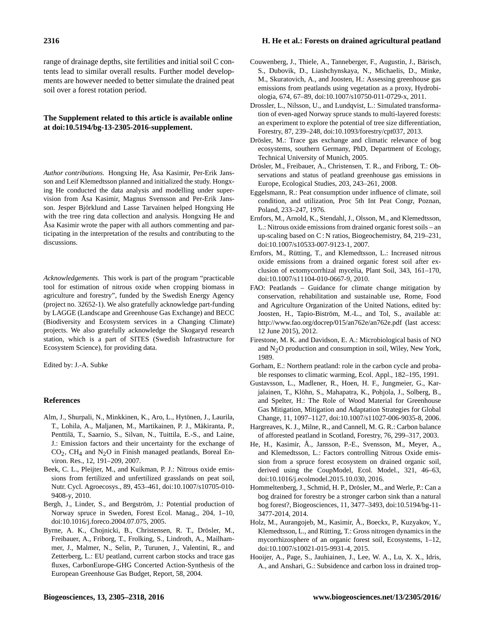range of drainage depths, site fertilities and initial soil C contents lead to similar overall results. Further model developments are however needed to better simulate the drained peat soil over a forest rotation period.

# **The Supplement related to this article is available online at [doi:10.5194/bg-13-2305-2016-supplement.](http://dx.doi.org/10.5194/bg-13-2305-2016-supplement)**

*Author contributions.* Hongxing He, Åsa Kasimir, Per-Erik Jansson and Leif Klemedtsson planned and initialized the study. Hongxing He conducted the data analysis and modelling under supervision from Åsa Kasimir, Magnus Svensson and Per-Erik Jansson. Jesper Björklund and Lasse Tarvainen helped Hongxing He with the tree ring data collection and analysis. Hongxing He and Åsa Kasimir wrote the paper with all authors commenting and participating in the interpretation of the results and contributing to the discussions.

*Acknowledgements.* This work is part of the program "practicable tool for estimation of nitrous oxide when cropping biomass in agriculture and forestry", funded by the Swedish Energy Agency (project no. 32652-1). We also gratefully acknowledge part-funding by LAGGE (Landscape and Greenhouse Gas Exchange) and BECC (Biodiversity and Ecosystem services in a Changing Climate) projects. We also gratefully acknowledge the Skogaryd research station, which is a part of SITES (Swedish Infrastructure for Ecosystem Science), for providing data.

Edited by: J.-A. Subke

#### **References**

- Alm, J., Shurpali, N., Minkkinen, K., Aro, L., Hytönen, J., Laurila, T., Lohila, A., Maljanen, M., Martikainen, P. J., Mäkiranta, P., Penttilä, T., Saarnio, S., Silvan, N., Tuittila, E.-S., and Laine, J.: Emission factors and their uncertainty for the exchange of  $CO<sub>2</sub>$ , CH<sub>4</sub> and N<sub>2</sub>O in Finish managed peatlands, Boreal Environ. Res., 12, 191–209, 2007.
- Beek, C. L., Pleijter, M., and Kuikman, P. J.: Nitrous oxide emissions from fertilized and unfertilized grasslands on peat soil, Nutr. Cycl. Agroecosys., 89, 453–461, doi[:10.1007/s10705-010-](http://dx.doi.org/10.1007/s10705-010-9408-y) [9408-y,](http://dx.doi.org/10.1007/s10705-010-9408-y) 2010.
- Bergh, J., Linder, S., and Bergström, J.: Potential production of Norway spruce in Sweden, Forest Ecol. Manag., 204, 1–10, doi[:10.1016/j.foreco.2004.07.075,](http://dx.doi.org/10.1016/j.foreco.2004.07.075) 2005.
- Byrne, A. K., Chojnicki, B., Christensen, R. T., Drösler, M., Freibauer, A., Friborg, T., Frolking, S., Lindroth, A., Mailhammer, J., Malmer, N., Selin, P., Turunen, J., Valentini, R., and Zetterberg, L.: EU peatland, current carbon stocks and trace gas fluxes, CarbonEurope-GHG Concerted Action-Synthesis of the European Greenhouse Gas Budget, Report, 58, 2004.
- Couwenberg, J., Thiele, A., Tanneberger, F., Augustin, J., Bärisch, S., Dubovik, D., Liashchynskaya, N., Michaelis, D., Minke, M., Skuratovich, A., and Joosten, H.: Assessing greenhouse gas emissions from peatlands using vegetation as a proxy, Hydrobiologia, 674, 67–89, doi[:10.1007/s10750-011-0729-x,](http://dx.doi.org/10.1007/s10750-011-0729-x) 2011.
- Drossler, L., Nilsson, U., and Lundqvist, L.: Simulated transformation of even-aged Norway spruce stands to multi-layered forests: an experiment to explore the potential of tree size differentiation, Forestry, 87, 239–248, doi[:10.1093/forestry/cpt037,](http://dx.doi.org/10.1093/forestry/cpt037) 2013.
- Drösler, M.: Trace gas exchange and climatic relevance of bog ecosystems, southern Germany, PhD, Department of Ecology, Technical University of Munich, 2005.
- Drösler, M., Freibauer, A., Christensen, T. R., and Friborg, T.: Observations and status of peatland greenhouse gas emissions in Europe, Ecological Studies, 203, 243–261, 2008.
- Eggelsmann, R.: Peat consumption under influence of climate, soil condition, and utilization, Proc 5th Int Peat Congr, Poznan, Poland, 233–247, 1976.
- Ernfors, M., Arnold, K., Stendahl, J., Olsson, M., and Klemedtsson, L.: Nitrous oxide emissions from drained organic forest soils – an up-scaling based on C : N ratios, Biogeochemistry, 84, 219–231, doi[:10.1007/s10533-007-9123-1,](http://dx.doi.org/10.1007/s10533-007-9123-1) 2007.
- Ernfors, M., Rütting, T., and Klemedtsson, L.: Increased nitrous oxide emissions from a drained organic forest soil after exclusion of ectomycorrhizal mycelia, Plant Soil, 343, 161–170, doi[:10.1007/s11104-010-0667-9,](http://dx.doi.org/10.1007/s11104-010-0667-9) 2010.
- FAO: Peatlands Guidance for climate change mitigation by conservation, rehabilitation and sustainable use, Rome, Food and Agriculture Organization of the United Nations, edited by: Joosten, H., Tapio-Biström, M.-L., and Tol, S., available at: <http://www.fao.org/docrep/015/an762e/an762e.pdf> (last access: 12 June 2015), 2012.
- Firestone, M. K. and Davidson, E. A.: Microbiological basis of NO and N2O production and consumption in soil, Wiley, New York, 1989.
- Gorham, E.: Northern peatland: role in the carbon cycle and probable responses to climatic warming, Ecol. Appl., 182–195, 1991.
- Gustavsson, L., Madlener, R., Hoen, H. F., Jungmeier, G., Karjalainen, T., Klöhn, S., Mahapatra, K., Pohjola, J., Solberg, B., and Spelter, H.: The Role of Wood Material for Greenhouse Gas Mitigation, Mitigation and Adaptation Strategies for Global Change, 11, 1097–1127, doi[:10.1007/s11027-006-9035-8,](http://dx.doi.org/10.1007/s11027-006-9035-8) 2006.
- Hargreaves, K. J., Milne, R., and Cannell, M. G. R.: Carbon balance of afforested peatland in Scotland, Forestry, 76, 299–317, 2003.
- He, H., Kasimir, Å., Jansson, P.-E., Svensson, M., Meyer, A., and Klemedtsson, L.: Factors controlling Nitrous Oxide emission from a spruce forest ecosystem on drained organic soil, derived using the CoupModel, Ecol. Model., 321, 46–63, doi[:10.1016/j.ecolmodel.2015.10.030,](http://dx.doi.org/10.1016/j.ecolmodel.2015.10.030) 2016.
- Hommeltenberg, J., Schmid, H. P., Drösler, M., and Werle, P.: Can a bog drained for forestry be a stronger carbon sink than a natural bog forest?, Biogeosciences, 11, 3477–3493, doi[:10.5194/bg-11-](http://dx.doi.org/10.5194/bg-11-3477-2014) [3477-2014,](http://dx.doi.org/10.5194/bg-11-3477-2014) 2014.
- Holz, M., Aurangojeb, M., Kasimir, Å., Boeckx, P., Kuzyakov, Y., Klemedtsson, L., and Rütting, T.: Gross nitrogen dynamics in the mycorrhizosphere of an organic forest soil, Ecosystems, 1–12, doi[:10.1007/s10021-015-9931-4,](http://dx.doi.org/10.1007/s10021-015-9931-4) 2015.
- Hooijer, A., Page, S., Jauhiainen, J., Lee, W. A., Lu, X. X., Idris, A., and Anshari, G.: Subsidence and carbon loss in drained trop-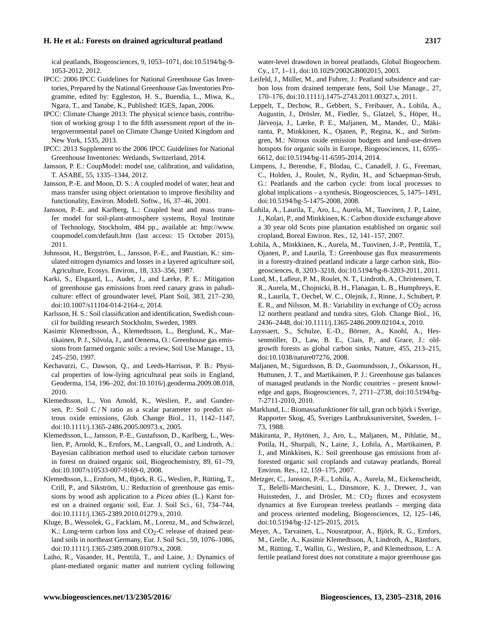ical peatlands, Biogeosciences, 9, 1053–1071, doi[:10.5194/bg-9-](http://dx.doi.org/10.5194/bg-9-1053-2012) [1053-2012,](http://dx.doi.org/10.5194/bg-9-1053-2012) 2012.

- IPCC: 2006 IPCC Guidelines for National Greenhouse Gas Inventories, Prepared by the National Greenhouse Gas Inventories Programme, edited by: Eggleston, H. S., Buendia, L., Miwa, K., Ngara, T., and Tanabe, K., Published: IGES, Japan, 2006.
- IPCC: Climate Change 2013: The physical science basis, contribution of working group 1 to the fifth assessment report of the intergovernmental panel on Climate Change United Kingdom and New York, 1535, 2013.
- IPCC: 2013 Supplement to the 2006 IPCC Guidelines for National Greenhouse Inventories: Wetlands, Switzerland, 2014.
- Jansson, P. E.: CoupModel: model use, calibration, and validation, T. ASABE, 55, 1335–1344, 2012.
- Jansson, P.-E. and Moon, D. S.: A coupled model of water, heat and mass transfer using object orientation to improve flexibility and functionality, Environ. Modell. Softw., 16, 37–46, 2001.
- Jansson, P.-E. and Karlberg, L.: Coupled heat and mass transfer model for soil-plant-atmosphere systems, Royal Institute of Technology, Stockholm, 484 pp., available at: [http://www.](http://www.coupmodel.com/default.htm) [coupmodel.com/default.htm](http://www.coupmodel.com/default.htm) (last access: 15 October 2015), 2011.
- Johnsson, H., Bergström, L., Jansson, P.-E., and Paustian, K.: simulated nitrogen dynamics and losses in a layered agriculture soil, Agriculture, Ecosys. Environ., 18, 333–356, 1987.
- Karki, S., Elsgaard, L., Audet, J., and Lærke, P. E.: Mitigation of greenhouse gas emissions from reed canary grass in paludiculture: effect of groundwater level, Plant Soil, 383, 217–230, doi[:10.1007/s11104-014-2164-z,](http://dx.doi.org/10.1007/s11104-014-2164-z) 2014.
- Karlsson, H. S.: Soil classification and identification, Swedish council for building research Stockholm, Sweden, 1989.
- Kasimir Klemedtsson, Å., Klemedtsson, L., Berglund, K., Martikainen, P. J., Silvola, J., and Oenema, O.: Greenhouse gas emissions from farmed organic soils: a review, Soil Use Manage., 13, 245–250, 1997.
- Kechavarzi, C., Dawson, Q., and Leeds-Harrison, P. B.: Physical properties of low-lying agricultural peat soils in England, Geoderma, 154, 196–202, doi[:10.1016/j.geoderma.2009.08.018,](http://dx.doi.org/10.1016/j.geoderma.2009.08.018) 2010.
- Klemedtsson, L., Von Arnold, K., Weslien, P., and Gundersen, P.: Soil C / N ratio as a scalar parameter to predict nitrous oxide emissions, Glob. Change Biol., 11, 1142–1147, doi[:10.1111/j.1365-2486.2005.00973.x,](http://dx.doi.org/10.1111/j.1365-2486.2005.00973.x) 2005.
- Klemedtsson, L., Jansson, P.-E., Gustafsson, D., Karlberg, L., Weslien, P., Arnold, K., Ernfors, M., Langvall, O., and Lindroth, A.: Bayesian calibration method used to elucidate carbon turnover in forest on drained organic soil, Biogeochemistry, 89, 61–79, doi[:10.1007/s10533-007-9169-0,](http://dx.doi.org/10.1007/s10533-007-9169-0) 2008.
- Klemedtsson, L., Ernfors, M., Björk, R. G., Weslien, P., Rütting, T., Crill, P., and Sikström, U.: Reduction of greenhouse gas emissions by wood ash application to a *Picea abies* (L.) Karst forest on a drained organic soil, Eur. J. Soil Sci., 61, 734–744, doi[:10.1111/j.1365-2389.2010.01279.x,](http://dx.doi.org/10.1111/j.1365-2389.2010.01279.x) 2010.
- Kluge, B., Wessolek, G., Facklam, M., Lorenz, M., and Schwärzel, K.: Long-term carbon loss and  $CO<sub>2</sub>-C$  release of drained peatland soils in northeast Germany, Eur. J. Soil Sci., 59, 1076–1086, doi[:10.1111/j.1365-2389.2008.01079.x,](http://dx.doi.org/10.1111/j.1365-2389.2008.01079.x) 2008.
- Laiho, R., Vasander, H., Penttilä, T., and Laine, J.: Dynamics of plant-mediated organic matter and nutrient cycling following

water-level drawdown in boreal peatlands, Global Biogeochem. Cy., 17, 1–11, doi[:10.1029/2002GB002015,](http://dx.doi.org/10.1029/2002GB002015) 2003.

- Leifeld, J., Müller, M., and Fuhrer, J.: Peatland subsidence and carbon loss from drained temperate fens, Soil Use Manage., 27, 170–176, doi[:10.1111/j.1475-2743.2011.00327.x,](http://dx.doi.org/10.1111/j.1475-2743.2011.00327.x) 2011.
- Leppelt, T., Dechow, R., Gebbert, S., Freibauer, A., Lohila, A., Augustin, J., Drösler, M., Fiedler, S., Glatzel, S., Höper, H., Järveoja, J., Lærke, P. E., Maljanen, M., Mander, Ü., Mäkiranta, P., Minkkinen, K., Ojanen, P., Regina, K., and Strömgren, M.: Nitrous oxide emission budgets and land-use-driven hotspots for organic soils in Europe, Biogeosciences, 11, 6595– 6612, doi[:10.5194/bg-11-6595-2014,](http://dx.doi.org/10.5194/bg-11-6595-2014) 2014.
- Limpens, J., Berendse, F., Blodau, C., Canadell, J. G., Freeman, C., Holden, J., Roulet, N., Rydin, H., and Schaepman-Strub, G.: Peatlands and the carbon cycle: from local processes to global implications – a synthesis, Biogeosciences, 5, 1475–1491, doi[:10.5194/bg-5-1475-2008,](http://dx.doi.org/10.5194/bg-5-1475-2008) 2008.
- Lohila, A., Laurila, T., Aro, L., Aurela, M., Tuovinen, J. P., Laine, J., Kolari, P., and Minkkinen, K.: Carbon dioxide exchange above a 30 year old Scots pine plantation established on organic soil cropland, Boreal Environ. Res., 12, 141–157, 2007.
- Lohila, A., Minkkinen, K., Aurela, M., Tuovinen, J.-P., Penttilä, T., Ojanen, P., and Laurila, T.: Greenhouse gas flux measurements in a forestry-drained peatland indicate a large carbon sink, Biogeosciences, 8, 3203–3218, doi[:10.5194/bg-8-3203-2011,](http://dx.doi.org/10.5194/bg-8-3203-2011) 2011.
- Lund, M., Lafleur, P. M., Roulet, N. T., Lindroth, A., Christensen, T. R., Aurela, M., Chojnicki, B. H., Flanagan, L. B., Humphreys, E. R., Laurila, T., Oechel, W. C., Olejnik, J., Rinne, J., Schubert, P. E. R., and Nilsson, M. B.: Variability in exchange of  $CO<sub>2</sub>$  across 12 northern peatland and tundra sites, Glob. Change Biol., 16, 2436–2448, doi[:10.1111/j.1365-2486.2009.02104.x,](http://dx.doi.org/10.1111/j.1365-2486.2009.02104.x) 2010.
- Luyssaert, S., Schulze, E.-D., Börner, A., Knohl, A., Hessenmöller, D., Law, B. E., Ciais, P., and Grace, J.: oldgrowth forests as global carbon sinks, Nature, 455, 213–215, doi[:10.1038/nature07276,](http://dx.doi.org/10.1038/nature07276) 2008.
- Maljanen, M., Sigurdsson, B. D., Guomundsson, J., Óskarsson, H., Huttunen, J. T., and Martikainen, P. J.: Greenhouse gas balances of managed peatlands in the Nordic countries – present knowledge and gaps, Biogeosciences, 7, 2711–2738, doi[:10.5194/bg-](http://dx.doi.org/10.5194/bg-7-2711-2010)[7-2711-2010,](http://dx.doi.org/10.5194/bg-7-2711-2010) 2010.
- Marklund, L.: Biomassafunktioner för tall, gran och björk i Sverige, Rapporter Skog, 45, Sveriges Lantbruksuniversitet, Sweden, 1– 73, 1988.
- Mäkiranta, P., Hytönen, J., Aro, L., Maljanen, M., Pihlatie, M., Potila, H., Shurpali, N., Laine, J., Lohila, A., Martikainen, P. J., and Minkkinen, K.: Soil greenhouse gas emissions from afforested organic soil croplands and cutaway peatlands, Boreal Environ. Res., 12, 159–175, 2007.
- Metzger, C., Jansson, P.-E., Lohila, A., Aurela, M., Eickenscheidt, T., Belelli-Marchesini, L., Dinsmore, K. J., Drewer, J., van Huissteden, J., and Drösler, M.:  $CO<sub>2</sub>$  fluxes and ecosystem dynamics at five European treeless peatlands – merging data and process oriented modeling, Biogeosciences, 12, 125–146, doi[:10.5194/bg-12-125-2015,](http://dx.doi.org/10.5194/bg-12-125-2015) 2015.
- Meyer, A., Tarvainen, L., Nousratpour, A., Björk, R. G., Ernfors, M., Grelle, A., Kasimir Klemedtsson, Å, Lindroth, A., Räntfors, M., Rütting, T., Wallin, G., Weslien, P., and Klemedtsson, L.: A fertile peatland forest does not constitute a major greenhouse gas